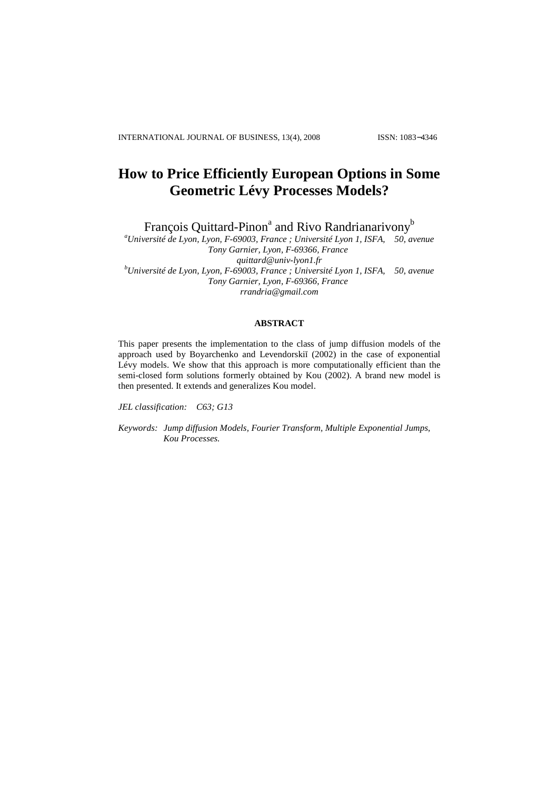# **How to Price Efficiently European Options in Some Geometric Lévy Processes Models?**

François Quittard-Pinon<sup>a</sup> and Rivo Randrianarivony<sup>b</sup>

*<sup>a</sup>Université de Lyon, Lyon, F-69003, France ; Université Lyon 1, ISFA, 50, avenue Tony Garnier, Lyon, F-69366, France quittard@univ-lyon1.fr <sup>b</sup>Université de Lyon, Lyon, F-69003, France ; Université Lyon 1, ISFA, 50, avenue Tony Garnier, Lyon, F-69366, France rrandria@gmail.com* 

### **ABSTRACT**

This paper presents the implementation to the class of jump diffusion models of the approach used by Boyarchenko and Levendorskiĭ (2002) in the case of exponential Lévy models. We show that this approach is more computationally efficient than the semi-closed form solutions formerly obtained by Kou (2002). A brand new model is then presented. It extends and generalizes Kou model.

*JEL classification: C63; G13* 

*Keywords: Jump diffusion Models, Fourier Transform, Multiple Exponential Jumps, Kou Processes.*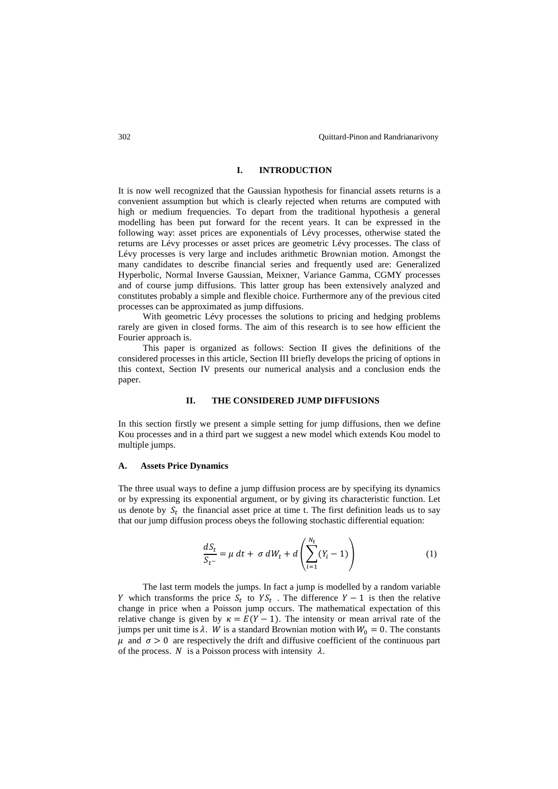### **I. INTRODUCTION**

It is now well recognized that the Gaussian hypothesis for financial assets returns is a convenient assumption but which is clearly rejected when returns are computed with high or medium frequencies. To depart from the traditional hypothesis a general modelling has been put forward for the recent years. It can be expressed in the following way: asset prices are exponentials of Lévy processes, otherwise stated the returns are Lévy processes or asset prices are geometric Lévy processes. The class of Lévy processes is very large and includes arithmetic Brownian motion. Amongst the many candidates to describe financial series and frequently used are: Generalized Hyperbolic, Normal Inverse Gaussian, Meixner, Variance Gamma, CGMY processes and of course jump diffusions. This latter group has been extensively analyzed and constitutes probably a simple and flexible choice. Furthermore any of the previous cited processes can be approximated as jump diffusions.

With geometric Lévy processes the solutions to pricing and hedging problems rarely are given in closed forms. The aim of this research is to see how efficient the Fourier approach is.

This paper is organized as follows: Section II gives the definitions of the considered processes in this article, Section III briefly develops the pricing of options in this context, Section IV presents our numerical analysis and a conclusion ends the paper.

### **II. THE CONSIDERED JUMP DIFFUSIONS**

In this section firstly we present a simple setting for jump diffusions, then we define Kou processes and in a third part we suggest a new model which extends Kou model to multiple jumps.

### **A. Assets Price Dynamics**

The three usual ways to define a jump diffusion process are by specifying its dynamics or by expressing its exponential argument, or by giving its characteristic function. Let us denote by  $S_t$  the financial asset price at time t. The first definition leads us to say that our jump diffusion process obeys the following stochastic differential equation:

$$
\frac{dS_t}{S_{t-}} = \mu \, dt + \sigma \, dW_t + d\left(\sum_{i=1}^{N_t} (Y_i - 1)\right) \tag{1}
$$

The last term models the jumps. In fact a jump is modelled by a random variable Y which transforms the price  $S_t$  to  $YS_t$ . The difference  $Y - 1$  is then the relative change in price when a Poisson jump occurs. The mathematical expectation of this relative change is given by  $\kappa = E(Y - 1)$ . The intensity or mean arrival rate of the jumps per unit time is  $\lambda$ . W is a standard Brownian motion with  $W_0 = 0$ . The constants  $\mu$  and  $\sigma > 0$  are respectively the drift and diffusive coefficient of the continuous part of the process.  $N$  is a Poisson process with intensity  $\lambda$ .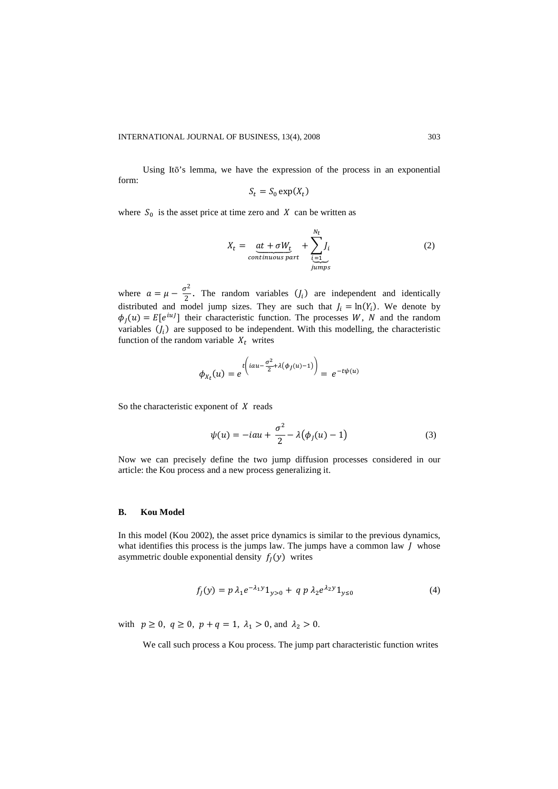Using Itō's lemma, we have the expression of the process in an exponential form:

$$
S_t = S_0 \exp(X_t)
$$

where  $S_0$  is the asset price at time zero and  $X$  can be written as

$$
X_t = \underbrace{at + \sigma W_t}_{continuous\ part} + \sum_{\substack{i=1 \ i \text{umps}}}^{N_t} J_i
$$
 (2)

where  $a = \mu - \frac{\sigma^2}{2}$  $\frac{1}{2}$ . The random variables  $(l_i)$  are independent and identically distributed and model jump sizes. They are such that  $J_i = \ln(Y_i)$ . We denote by  $\phi_J(u) = E[e^{iuJ}]$  their characteristic function. The processes W, N and the random variables  $(J_i)$  are supposed to be independent. With this modelling, the characteristic function of the random variable  $X_t$  writes

$$
\phi_{X_t}(u) = e^{\int \left( iau - \frac{\sigma^2}{2} + \lambda(\phi_J(u) - 1) \right)} = e^{-t\psi(u)}
$$

So the characteristic exponent of  $X$  reads

$$
\psi(u) = -iau + \frac{\sigma^2}{2} - \lambda(\phi_J(u) - 1) \tag{3}
$$

Now we can precisely define the two jump diffusion processes considered in our article: the Kou process and a new process generalizing it.

#### **B. Kou Model**

In this model (Kou 2002), the asset price dynamics is similar to the previous dynamics, what identifies this process is the jumps law. The jumps have a common law  $J$  whose asymmetric double exponential density  $f_I(y)$  writes

$$
f_J(y) = p \lambda_1 e^{-\lambda_1 y} 1_{y>0} + q p \lambda_2 e^{\lambda_2 y} 1_{y\leq 0}
$$
 (4)

with  $p \ge 0$ ,  $q \ge 0$ ,  $p + q = 1$ ,  $\lambda_1 > 0$ , and  $\lambda_2 > 0$ .

We call such process a Kou process. The jump part characteristic function writes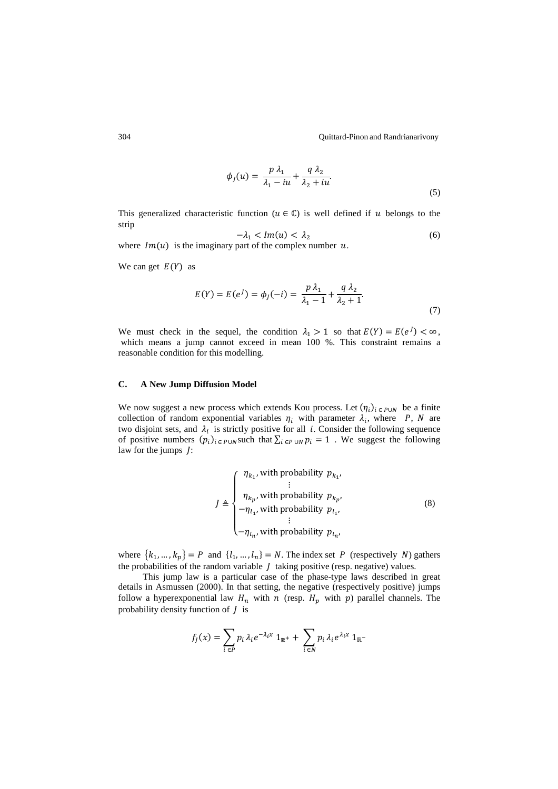304 Quittard-Pinon and Randrianarivony

$$
\phi_J(u) = \frac{p\,\lambda_1}{\lambda_1 - iu} + \frac{q\,\lambda_2}{\lambda_2 + iu}.\tag{5}
$$

This generalized characteristic function ( $u \in \mathbb{C}$ ) is well defined if  $u$  belongs to the strip

$$
-\lambda_1 < Im(u) < \lambda_2 \tag{6}
$$

where  $Im(u)$  is the imaginary part of the complex number  $u$ .

We can get  $E(Y)$  as

$$
E(Y) = E(e^{J}) = \phi_{J}(-i) = \frac{p \lambda_{1}}{\lambda_{1} - 1} + \frac{q \lambda_{2}}{\lambda_{2} + 1}.
$$
\n(7)

We must check in the sequel, the condition  $\lambda_1 > 1$  so that  $E(Y) = E(e^{\lambda}) < \infty$ , which means a jump cannot exceed in mean 100 %. This constraint remains a reasonable condition for this modelling.

### **C. A New Jump Diffusion Model**

We now suggest a new process which extends Kou process. Let  $(\eta_i)_{i \in P \cup N}$  be a finite collection of random exponential variables  $\eta_i$  with parameter  $\lambda_i$ , where P, N are two disjoint sets, and  $\lambda_i$  is strictly positive for all *i*. Consider the following sequence of positive numbers  $(p_i)_{i \in P \cup N}$  such that  $\sum_{i \in P \cup N} p_i = 1$ . We suggest the following law for the jumps *J*:

$$
J \triangleq \begin{cases} \eta_{k_1}, \text{ with probability } p_{k_1}, \\ \vdots \\ \eta_{k_p}, \text{ with probability } p_{k_p}, \\ -\eta_{l_1}, \text{ with probability } p_{l_1}, \\ \vdots \\ -\eta_{l_n}, \text{ with probability } p_{l_n}, \end{cases} \tag{8}
$$

where  $\{k_1, ..., k_p\} = P$  and  $\{l_1, ..., l_n\} = N$ . The index set P (respectively N) gathers the probabilities of the random variable  $J$  taking positive (resp. negative) values.

This jump law is a particular case of the phase-type laws described in great details in Asmussen (2000). In that setting, the negative (respectively positive) jumps follow a hyperexponential law  $H_n$  with  $n$  (resp.  $H_p$  with  $p$ ) parallel channels. The probability density function of  $J$  is

$$
f_j(x) = \sum_{i \in P} p_i \lambda_i e^{-\lambda_i x} 1_{\mathbb{R}^+} + \sum_{i \in N} p_i \lambda_i e^{\lambda_i x} 1_{\mathbb{R}^-}
$$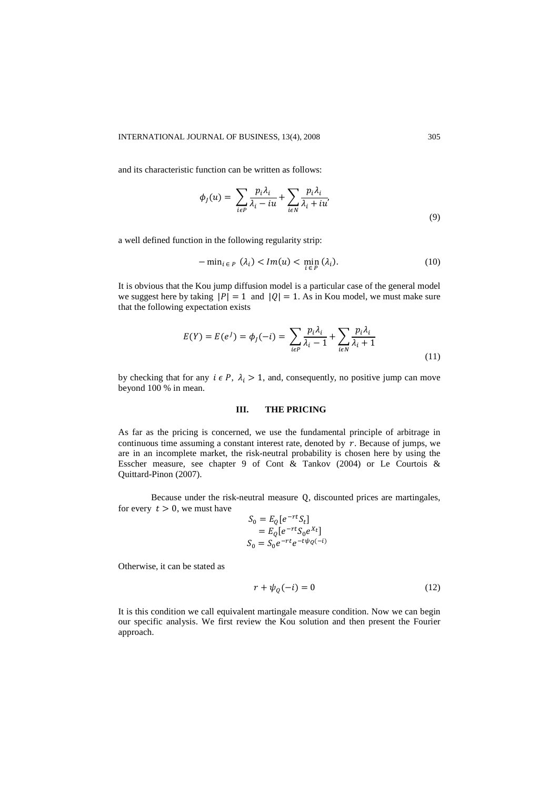and its characteristic function can be written as follows:

$$
\phi_j(u) = \sum_{i \in P} \frac{p_i \lambda_i}{\lambda_i - iu} + \sum_{i \in N} \frac{p_i \lambda_i}{\lambda_i + iu'},
$$
\n(9)

a well defined function in the following regularity strip:

$$
-\min_{i \in P} (\lambda_i) < Im(u) < \min_{i \in P} (\lambda_i). \tag{10}
$$

It is obvious that the Kou jump diffusion model is a particular case of the general model we suggest here by taking  $|P| = 1$  and  $|Q| = 1$ . As in Kou model, we must make sure that the following expectation exists

$$
E(Y) = E(e^j) = \phi_j(-i) = \sum_{i \in P} \frac{p_i \lambda_i}{\lambda_i - 1} + \sum_{i \in N} \frac{p_i \lambda_i}{\lambda_i + 1}
$$
\n(11)

by checking that for any  $i \in P$ ,  $\lambda_i > 1$ , and, consequently, no positive jump can move beyond 100 % in mean.

### **III. THE PRICING**

As far as the pricing is concerned, we use the fundamental principle of arbitrage in continuous time assuming a constant interest rate, denoted by  $r$ . Because of jumps, we are in an incomplete market, the risk-neutral probability is chosen here by using the Esscher measure, see chapter 9 of Cont & Tankov (2004) or Le Courtois & Quittard-Pinon (2007).

Because under the risk-neutral measure Q, discounted prices are martingales, for every  $t > 0$ , we must have

$$
S_0 = E_Q[e^{-rt}S_t]
$$
  
= 
$$
E_Q[e^{-rt}S_0e^{X_t}]
$$
  

$$
S_0 = S_0e^{-rt}e^{-t\psi_Q(-t)}
$$

Otherwise, it can be stated as

$$
r + \psi_Q(-i) = 0 \tag{12}
$$

It is this condition we call equivalent martingale measure condition. Now we can begin our specific analysis. We first review the Kou solution and then present the Fourier approach.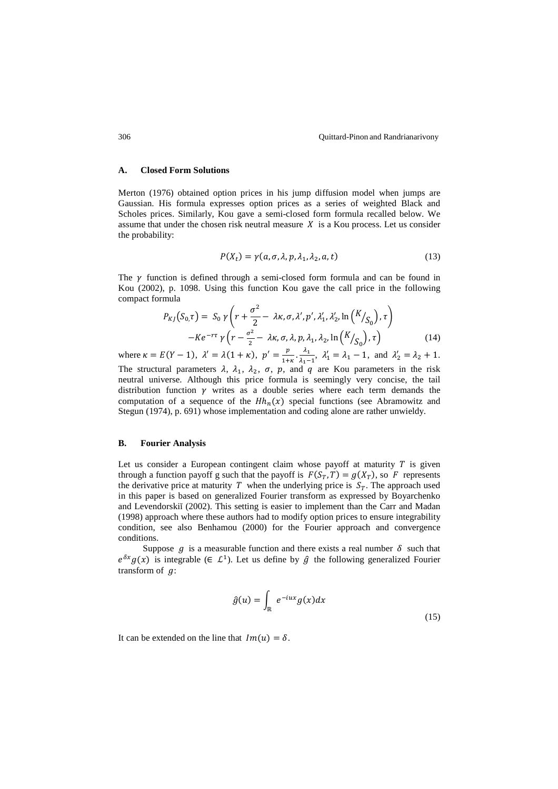#### **A. Closed Form Solutions**

Merton (1976) obtained option prices in his jump diffusion model when jumps are Gaussian. His formula expresses option prices as a series of weighted Black and Scholes prices. Similarly, Kou gave a semi-closed form formula recalled below. We assume that under the chosen risk neutral measure  $X$  is a Kou process. Let us consider the probability:

$$
P(X_t) = \gamma(a, \sigma, \lambda, p, \lambda_1, \lambda_2, a, t)
$$
\n(13)

The  $\gamma$  function is defined through a semi-closed form formula and can be found in Kou (2002), p. 1098. Using this function Kou gave the call price in the following compact formula

$$
P_{KJ}(S_{0,T}) = S_0 \gamma \left( r + \frac{\sigma^2}{2} - \lambda \kappa, \sigma, \lambda', p', \lambda'_1, \lambda'_2, \ln(K /_{S_0}), \tau \right)
$$

$$
-Ke^{-r\tau} \gamma \left( r - \frac{\sigma^2}{2} - \lambda \kappa, \sigma, \lambda, p, \lambda_1, \lambda_2, \ln(K /_{S_0}), \tau \right)
$$
(14)

where  $\kappa = E(Y - 1)$ ,  $\lambda' = \lambda(1 + \kappa)$ ,  $p' = \frac{p}{1 + \lambda}$  $rac{p}{1+\kappa} \cdot \frac{\lambda_1}{\lambda_1-}$  $\frac{\lambda_1}{\lambda_1 - 1}$ ,  $\lambda'_1 = \lambda_1 - 1$ , and  $\lambda'_2 = \lambda_2 + 1$ .

The structural parameters  $\lambda$ ,  $\lambda_1$ ,  $\lambda_2$ ,  $\sigma$ ,  $p$ , and  $q$  are Kou parameters in the risk neutral universe. Although this price formula is seemingly very concise, the tail distribution function  $\gamma$  writes as a double series where each term demands the computation of a sequence of the  $H h_n(x)$  special functions (see Abramowitz and Stegun (1974), p. 691) whose implementation and coding alone are rather unwieldy.

### **B. Fourier Analysis**

Let us consider a European contingent claim whose payoff at maturity  $T$  is given through a function payoff g such that the payoff is  $F(S_T, T) = g(X_T)$ , so F represents the derivative price at maturity T when the underlying price is  $S_T$ . The approach used in this paper is based on generalized Fourier transform as expressed by Boyarchenko and Levendorskiĭ (2002). This setting is easier to implement than the Carr and Madan (1998) approach where these authors had to modify option prices to ensure integrability condition, see also Benhamou (2000) for the Fourier approach and convergence conditions.

Suppose  $g$  is a measurable function and there exists a real number  $\delta$  such that  $e^{\delta x} g(x)$  is integrable ( $\in L^1$ ). Let us define by  $\hat{g}$  the following generalized Fourier transform of  $q$ :

$$
\hat{g}(u) = \int_{\mathbb{R}} e^{-iux} g(x) dx
$$
\n(15)

It can be extended on the line that  $Im(u) = \delta$ .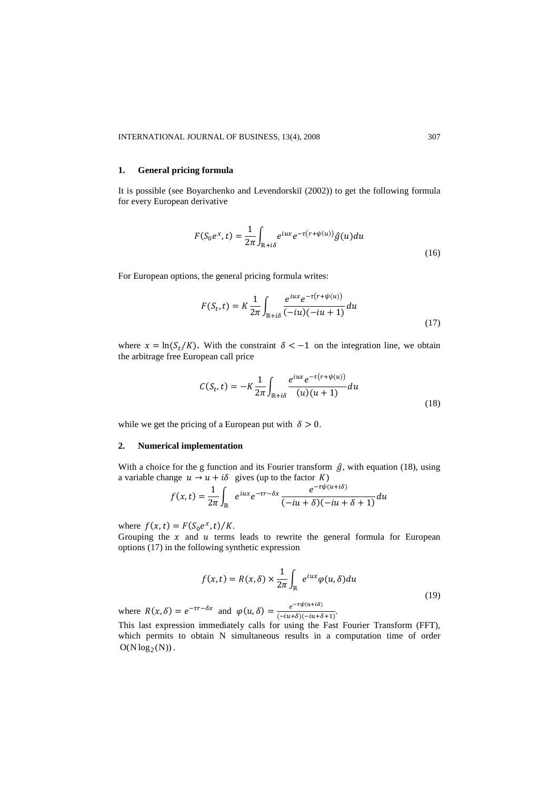### **1. General pricing formula**

It is possible (see Boyarchenko and Levendorskiĭ (2002)) to get the following formula for every European derivative

$$
F(S_0 e^x, t) = \frac{1}{2\pi} \int_{\mathbb{R}^+ i\delta} e^{iux} e^{-\tau(r+\psi(u))} \hat{g}(u) du
$$
\n(16)

For European options, the general pricing formula writes:

$$
F(S_t, t) = K \frac{1}{2\pi} \int_{\mathbb{R} + i\delta} \frac{e^{iux} e^{-\tau(r + \psi(u))}}{(-iu)(-iu + 1)} du
$$
\n(17)

where  $x = \ln(S_t/K)$ . With the constraint  $\delta < -1$  on the integration line, we obtain the arbitrage free European call price

$$
C(S_t, t) = -K \frac{1}{2\pi} \int_{\mathbb{R} + i\delta} \frac{e^{iux} e^{-\tau(r + \psi(u))}}{(u)(u+1)} du
$$
\n(18)

while we get the pricing of a European put with  $\delta > 0$ .

### **2. Numerical implementation**

With a choice for the g function and its Fourier transform  $\hat{g}$ , with equation (18), using a variable change  $u \rightarrow u + i\delta$  gives (up to the factor K)

$$
f(x,t) = \frac{1}{2\pi} \int_{\mathbb{R}} e^{iux} e^{-\tau r - \delta x} \frac{e^{-\tau \psi(u+i\delta)}}{(-iu+\delta)(-iu+\delta+1)} du
$$

where  $f(x, t) = F(S_0 e^x, t) / K$ .

Grouping the  $x$  and  $u$  terms leads to rewrite the general formula for European options (17) in the following synthetic expression

$$
f(x,t) = R(x,\delta) \times \frac{1}{2\pi} \int_{\mathbb{R}} e^{iux} \varphi(u,\delta) du
$$
\n(19)

where  $R(x, \delta) = e^{-\tau r - \delta x}$  and  $\varphi(u, \delta) = \frac{e^{-\tau \psi(u + i\delta)}}{(-iu + \delta)(-iu + \delta + 1)}$ . This last expression immediately calls for using the Fast Fourier Transform (FFT), which permits to obtain N simultaneous results in a computation time of order  $O(N \log_2(N))$ .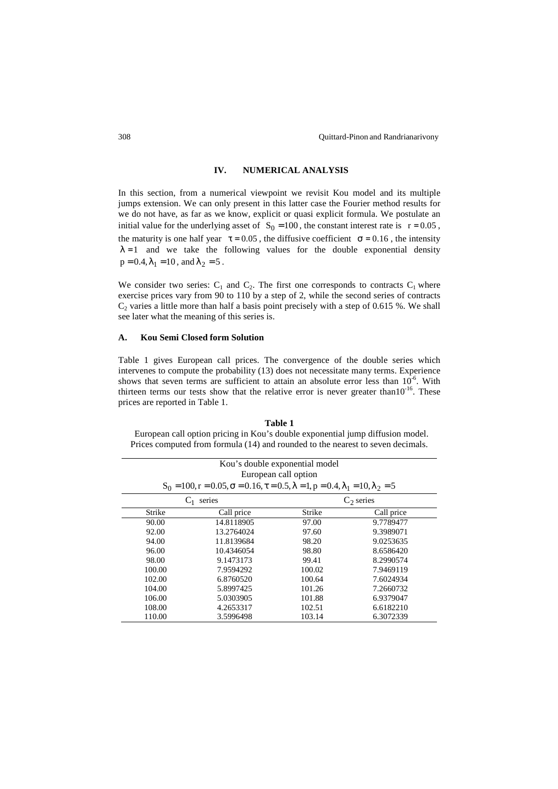# **IV. NUMERICAL ANALYSIS**

In this section, from a numerical viewpoint we revisit Kou model and its multiple jumps extension. We can only present in this latter case the Fourier method results for we do not have, as far as we know, explicit or quasi explicit formula. We postulate an initial value for the underlying asset of  $S_0 = 100$ , the constant interest rate is  $r = 0.05$ , the maturity is one half year  $\tau = 0.05$ , the diffusive coefficient  $\sigma = 0.16$ , the intensity  $\lambda = 1$  and we take the following values for the double exponential density  $p = 0.4, \lambda_1 = 10$ , and  $\lambda_2 = 5$ .

We consider two series:  $C_1$  and  $C_2$ . The first one corresponds to contracts  $C_1$  where exercise prices vary from 90 to 110 by a step of 2, while the second series of contracts  $C_2$  varies a little more than half a basis point precisely with a step of 0.615 %. We shall see later what the meaning of this series is.

### **A. Kou Semi Closed form Solution**

Table 1 gives European call prices. The convergence of the double series which intervenes to compute the probability (13) does not necessitate many terms. Experience shows that seven terms are sufficient to attain an absolute error less than  $10^{-6}$ . With thirteen terms our tests show that the relative error is never greater than10<sup>-16</sup>. These prices are reported in Table 1.

### **Table 1**  European call option pricing in Kou's double exponential jump diffusion model. Prices computed from formula (14) and rounded to the nearest to seven decimals.

|        |                                                                                                                            | Kou's double exponential model |              |
|--------|----------------------------------------------------------------------------------------------------------------------------|--------------------------------|--------------|
|        |                                                                                                                            | European call option           |              |
|        | $S_0 = 100$ , $r = 0.05$ , $\sigma = 0.16$ , $\tau = 0.5$ , $\lambda = 1$ , $p = 0.4$ , $\lambda_1 = 10$ , $\lambda_2 = 5$ |                                |              |
|        | series                                                                                                                     |                                | $C_2$ series |
| Strike | Call price                                                                                                                 | Strike                         | Call price   |
| 90.00  | 14.8118905                                                                                                                 | 97.00                          | 9.7789477    |
| 92.00  | 13.2764024                                                                                                                 | 97.60                          | 9.3989071    |
| 94.00  | 11.8139684                                                                                                                 | 98.20                          | 9.0253635    |
| 96.00  | 10.4346054                                                                                                                 | 98.80                          | 8.6586420    |
| 98.00  | 9.1473173                                                                                                                  | 99.41                          | 8.2990574    |
| 100.00 | 7.9594292                                                                                                                  | 100.02                         | 7.9469119    |
| 102.00 | 6.8760520                                                                                                                  | 100.64                         | 7.6024934    |
| 104.00 | 5.8997425                                                                                                                  | 101.26                         | 7.2660732    |
| 106.00 | 5.0303905                                                                                                                  | 101.88                         | 6.9379047    |
| 108.00 | 4.2653317                                                                                                                  | 102.51                         | 6.6182210    |
| 110.00 | 3.5996498                                                                                                                  | 103.14                         | 6.3072339    |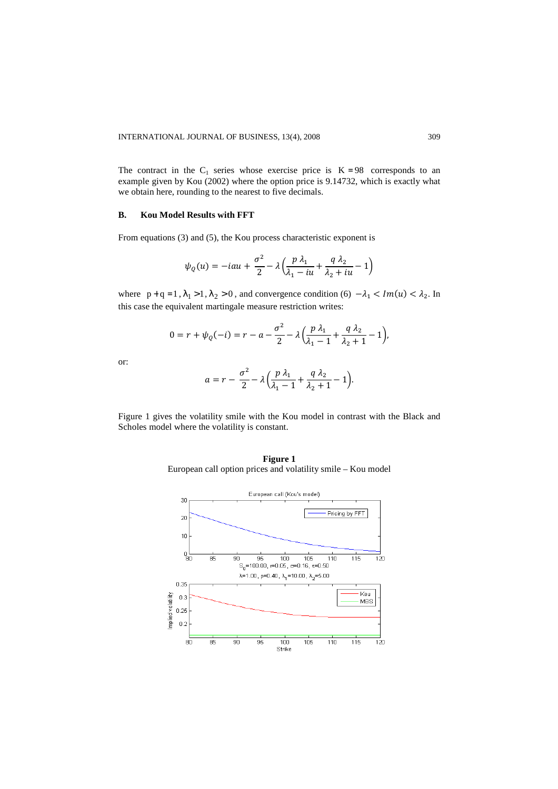The contract in the  $C_1$  series whose exercise price is  $K = 98$  corresponds to an example given by Kou (2002) where the option price is 9.14732, which is exactly what we obtain here, rounding to the nearest to five decimals.

## **B. Kou Model Results with FFT**

From equations (3) and (5), the Kou process characteristic exponent is

$$
\psi_Q(u) = -iau + \frac{\sigma^2}{2} - \lambda \left( \frac{p \lambda_1}{\lambda_1 - iu} + \frac{q \lambda_2}{\lambda_2 + iu} - 1 \right)
$$

where  $p+q=1$ ,  $\lambda_1 > 1$ ,  $\lambda_2 > 0$ , and convergence condition (6)  $-\lambda_1 < Im(u) < \lambda_2$ . In this case the equivalent martingale measure restriction writes:

$$
0 = r + \psi_Q(-i) = r - a - \frac{\sigma^2}{2} - \lambda \left( \frac{p \lambda_1}{\lambda_1 - 1} + \frac{q \lambda_2}{\lambda_2 + 1} - 1 \right),
$$

or:

$$
a = r - \frac{\sigma^2}{2} - \lambda \left( \frac{p \lambda_1}{\lambda_1 - 1} + \frac{q \lambda_2}{\lambda_2 + 1} - 1 \right).
$$

Figure 1 gives the volatility smile with the Kou model in contrast with the Black and Scholes model where the volatility is constant.

**Figure 1**  European call option prices and volatility smile – Kou model

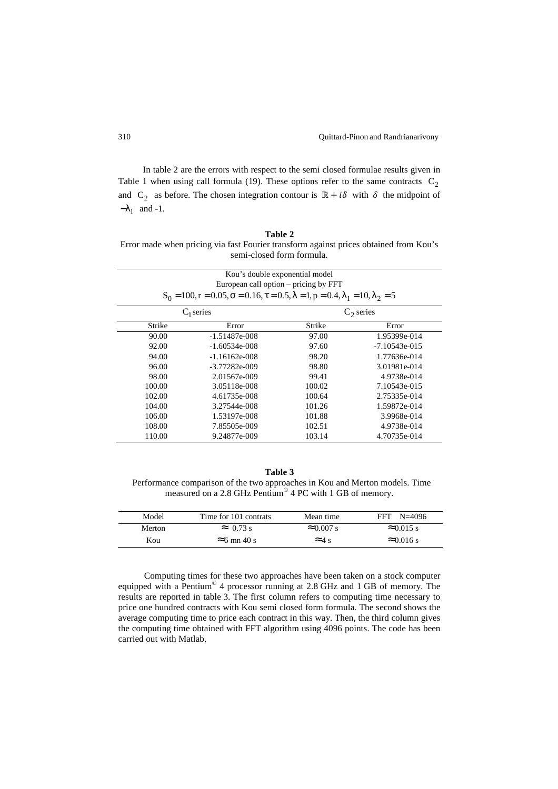In table 2 are the errors with respect to the semi closed formulae results given in Table 1 when using call formula (19). These options refer to the same contracts  $C_2$ and  $C_2$  as before. The chosen integration contour is  $\mathbb{R} + i\delta$  with  $\delta$  the midpoint of  $-\lambda_1$  and -1.

| Table 2                                                                               |
|---------------------------------------------------------------------------------------|
| Error made when pricing via fast Fourier transform against prices obtained from Kou's |
| semi-closed form formula.                                                             |

|              | Kou's double exponential model                                                                                             |        |                 |
|--------------|----------------------------------------------------------------------------------------------------------------------------|--------|-----------------|
|              | European call option – pricing by FFT                                                                                      |        |                 |
|              | $S_0 = 100$ , $r = 0.05$ , $\sigma = 0.16$ , $\tau = 0.5$ , $\lambda = 1$ , $p = 0.4$ , $\lambda_1 = 10$ , $\lambda_2 = 5$ |        |                 |
| $C_1$ series |                                                                                                                            |        | $C_2$ series    |
| Strike       | Error                                                                                                                      | Strike | Error           |
| 90.00        | $-1.51487e-008$                                                                                                            | 97.00  | 1.95399e-014    |
| 92.00        | $-1.60534e-008$                                                                                                            | 97.60  | $-7.10543e-015$ |
| 94.00        | $-1.16162e-008$                                                                                                            | 98.20  | 1.77636e-014    |
| 96.00        | -3.77282e-009                                                                                                              | 98.80  | 3.01981e-014    |
| 98.00        | 2.01567e-009                                                                                                               | 99.41  | 4.9738e-014     |
| 100.00       | 3.05118e-008                                                                                                               | 100.02 | 7.10543e-015    |
| 102.00       | 4.61735e-008                                                                                                               | 100.64 | 2.75335e-014    |
| 104.00       | 3.27544e-008                                                                                                               | 101.26 | 1.59872e-014    |
| 106.00       | 1.53197e-008                                                                                                               | 101.88 | 3.9968e-014     |
| 108.00       | 7.85505e-009                                                                                                               | 102.51 | 4.9738e-014     |
| 110.00       | 9.24877e-009                                                                                                               | 103.14 | 4.70735e-014    |

#### **Table 3**

 Performance comparison of the two approaches in Kou and Merton models. Time measured on a 2.8 GHz Pentium<sup>®</sup> 4 PC with 1 GB of memory.

| Model         | Time for 101 contrats | Mean time         | $N = 4096$<br><b>FFT</b> |
|---------------|-----------------------|-------------------|--------------------------|
| <b>Merton</b> | $\approx 0.73$ s      | $\approx 0.007$ s | $\approx 0.015$ s        |
| Kou           | $\approx$ 6 mn 40 s   | $\approx$ 4 s     | $\approx 0.016$ s        |

Computing times for these two approaches have been taken on a stock computer equipped with a Pentium<sup>®</sup> 4 processor running at 2.8 GHz and 1 GB of memory. The results are reported in table 3. The first column refers to computing time necessary to price one hundred contracts with Kou semi closed form formula. The second shows the average computing time to price each contract in this way. Then, the third column gives the computing time obtained with FFT algorithm using 4096 points. The code has been carried out with Matlab.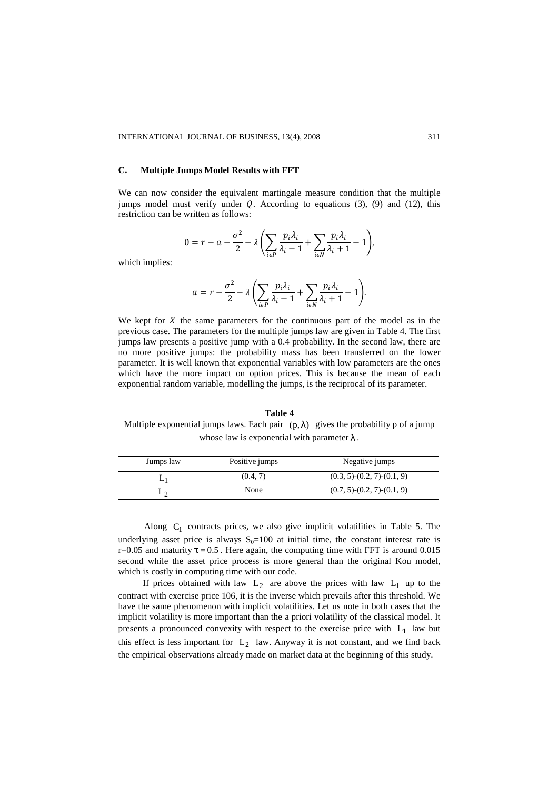### **C. Multiple Jumps Model Results with FFT**

We can now consider the equivalent martingale measure condition that the multiple jumps model must verify under  $Q$ . According to equations (3), (9) and (12), this restriction can be written as follows:

$$
0 = r - a - \frac{\sigma^2}{2} - \lambda \left( \sum_{i \in P} \frac{p_i \lambda_i}{\lambda_i - 1} + \sum_{i \in N} \frac{p_i \lambda_i}{\lambda_i + 1} - 1 \right),
$$

which implies:

$$
a = r - \frac{\sigma^2}{2} - \lambda \left( \sum_{i \in P} \frac{p_i \lambda_i}{\lambda_i - 1} + \sum_{i \in N} \frac{p_i \lambda_i}{\lambda_i + 1} - 1 \right).
$$

We kept for  $X$  the same parameters for the continuous part of the model as in the previous case. The parameters for the multiple jumps law are given in Table 4. The first jumps law presents a positive jump with a 0.4 probability. In the second law, there are no more positive jumps: the probability mass has been transferred on the lower parameter. It is well known that exponential variables with low parameters are the ones which have the more impact on option prices. This is because the mean of each exponential random variable, modelling the jumps, is the reciprocal of its parameter.

#### **Table 4**

Multiple exponential jumps laws. Each pair  $(p, \lambda)$  gives the probability p of a jump whose law is exponential with parameter  $\lambda$ .

| Jumps law | Positive jumps | Negative jumps                       |
|-----------|----------------|--------------------------------------|
| L1        | (0.4, 7)       | $(0.3, 5)$ - $(0.2, 7)$ - $(0.1, 9)$ |
| L٥        | None           | $(0.7, 5)$ - $(0.2, 7)$ - $(0.1, 9)$ |

Along  $C_1$  contracts prices, we also give implicit volatilities in Table 5. The underlying asset price is always  $S_0=100$  at initial time, the constant interest rate is r=0.05 and maturity  $\tau = 0.5$ . Here again, the computing time with FFT is around 0.015 second while the asset price process is more general than the original Kou model, which is costly in computing time with our code.

If prices obtained with law  $L_2$  are above the prices with law  $L_1$  up to the contract with exercise price 106, it is the inverse which prevails after this threshold. We have the same phenomenon with implicit volatilities. Let us note in both cases that the implicit volatility is more important than the a priori volatility of the classical model. It presents a pronounced convexity with respect to the exercise price with  $L_1$  law but this effect is less important for  $L_2$  law. Anyway it is not constant, and we find back the empirical observations already made on market data at the beginning of this study.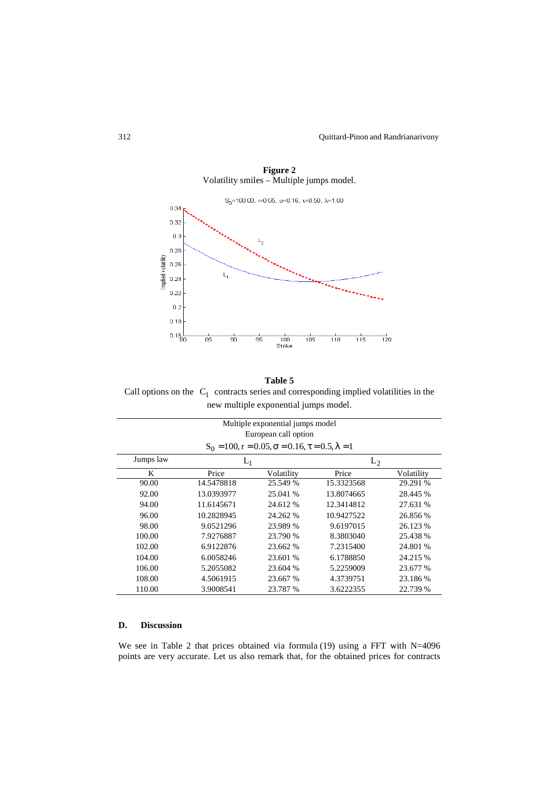Quittard-Pinon and Randrianarivony



**Figure 2**  Volatility smiles – Multiple jumps model.

# Call options on the  $C_1$  contracts series and corresponding implied volatilities in the **Table 5**  new multiple exponential jumps model.

|           |            | Multiple exponential jumps model<br>European call option                  |            |            |  |
|-----------|------------|---------------------------------------------------------------------------|------------|------------|--|
|           |            | $S_0 = 100$ , $r = 0.05$ , $\sigma = 0.16$ , $\tau = 0.5$ , $\lambda = 1$ |            |            |  |
| Jumps law |            | $L_1$                                                                     |            | $L_2$      |  |
| K         | Price      | Volatility                                                                | Price      | Volatility |  |
| 90.00     | 14.5478818 | 25.549 %                                                                  | 15.3323568 | 29.291 %   |  |
| 92.00     | 13.0393977 | 25.041 %                                                                  | 13.8074665 | 28.445 %   |  |
| 94.00     | 11.6145671 | 24.612 %                                                                  | 12.3414812 | 27.631 %   |  |
| 96.00     | 10.2828945 | 24.262 %                                                                  | 10.9427522 | 26.856 %   |  |
| 98.00     | 9.0521296  | 23.989 %                                                                  | 9.6197015  | 26.123 %   |  |
| 100.00    | 7.9276887  | 23.790 %                                                                  | 8.3803040  | 25.438 %   |  |
| 102.00    | 6.9122876  | 23.662 %                                                                  | 7.2315400  | 24.801 %   |  |
| 104.00    | 6.0058246  | 23.601 %                                                                  | 6.1788850  | 24.215 %   |  |
| 106.00    | 5.2055082  | 23.604 %                                                                  | 5.2259009  | 23.677 %   |  |
| 108.00    | 4.5061915  | 23.667 %                                                                  | 4.3739751  | 23.186%    |  |
| 110.00    | 3.9008541  | 23.787 %                                                                  | 3.6222355  | 22.739 %   |  |

# **D. Discussion**

We see in Table 2 that prices obtained via formula  $(19)$  using a FFT with points are very accurate. Let us also remark that, for the obtained prices for contracts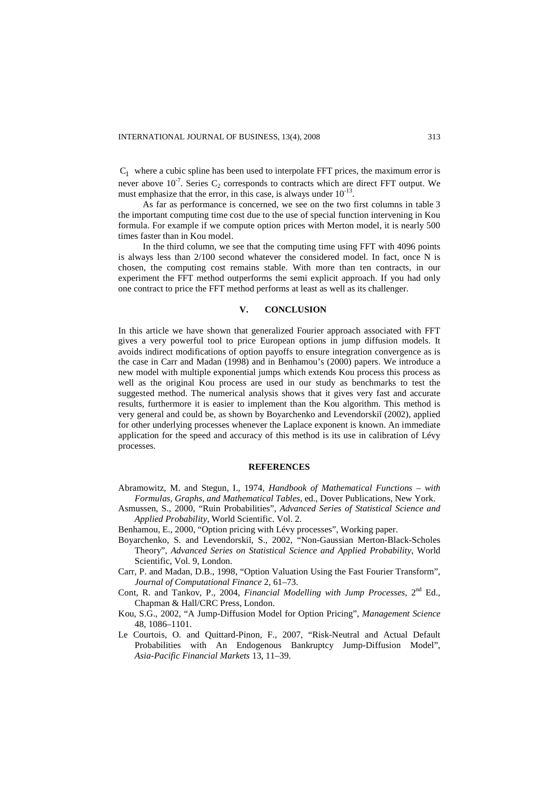$C_1$  where a cubic spline has been used to interpolate FFT prices, the maximum error is never above  $10^{-7}$ . Series  $C_2$  corresponds to contracts which are direct FFT output. We must emphasize that the error, in this case, is always under  $10^{-13}$ .

As far as performance is concerned, we see on the two first columns in table 3 the important computing time cost due to the use of special function intervening in Kou formula. For example if we compute option prices with Merton model, it is nearly 500 times faster than in Kou model.

In the third column, we see that the computing time using FFT with 4096 points is always less than 2/100 second whatever the considered model. In fact, once N is chosen, the computing cost remains stable. With more than ten contracts, in our experiment the FFT method outperforms the semi explicit approach. If you had only one contract to price the FFT method performs at least as well as its challenger.

### **V. CONCLUSION**

In this article we have shown that generalized Fourier approach associated with FFT gives a very powerful tool to price European options in jump diffusion models. It avoids indirect modifications of option payoffs to ensure integration convergence as is the case in Carr and Madan (1998) and in Benhamou's (2000) papers. We introduce a new model with multiple exponential jumps which extends Kou process this process as well as the original Kou process are used in our study as benchmarks to test the suggested method. The numerical analysis shows that it gives very fast and accurate results, furthermore it is easier to implement than the Kou algorithm. This method is very general and could be, as shown by Boyarchenko and Levendorskiĭ (2002), applied for other underlying processes whenever the Laplace exponent is known. An immediate application for the speed and accuracy of this method is its use in calibration of Lévy processes.

### **REFERENCES**

- Abramowitz, M. and Stegun, I., 1974, *Handbook of Mathematical Functions with Formulas, Graphs, and Mathematical Tables*, ed., Dover Publications, New York.
- Asmussen, S., 2000, "Ruin Probabilities", *Advanced Series of Statistical Science and Applied Probability*, World Scientific. Vol. 2.
- Benhamou, E., 2000, "Option pricing with Lévy processes", Working paper.
- Boyarchenko, S. and Levendorskiĭ, S., 2002, "Non-Gaussian Merton-Black-Scholes Theory", *Advanced Series on Statistical Science and Applied Probability*, World Scientific, Vol. 9, London.
- Carr, P. and Madan, D.B., 1998, "Option Valuation Using the Fast Fourier Transform", *Journal of Computational Finance* 2, 61–73.
- Cont, R. and Tankov, P., 2004, *Financial Modelling with Jump Processes*, 2<sup>nd</sup> Ed., Chapman & Hall/CRC Press, London.
- Kou, S.G., 2002, "A Jump-Diffusion Model for Option Pricing", *Management Science* 48, 1086–1101.
- Le Courtois, O. and Quittard-Pinon, F., 2007, "Risk-Neutral and Actual Default Probabilities with An Endogenous Bankruptcy Jump-Diffusion Model", *Asia-Pacific Financial Markets* 13, 11–39.